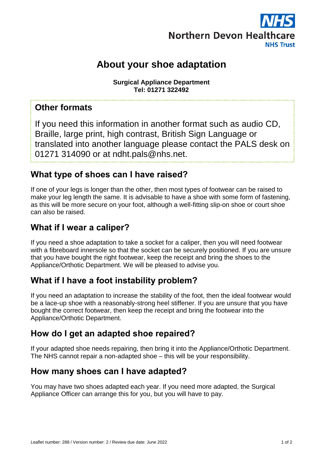

# **About your shoe adaptation**

**Surgical Appliance Department Tel: 01271 322492**

#### **Other formats**

If you need this information in another format such as audio CD, Braille, large print, high contrast, British Sign Language or translated into another language please contact the PALS desk on 01271 314090 or at ndht.pals@nhs.net.

### **What type of shoes can I have raised?**

If one of your legs is longer than the other, then most types of footwear can be raised to make your leg length the same. It is advisable to have a shoe with some form of fastening, as this will be more secure on your foot, although a well-fitting slip-on shoe or court shoe can also be raised.

#### **What if I wear a caliper?**

If you need a shoe adaptation to take a socket for a caliper, then you will need footwear with a fibreboard innersole so that the socket can be securely positioned. If you are unsure that you have bought the right footwear, keep the receipt and bring the shoes to the Appliance/Orthotic Department. We will be pleased to advise you.

### **What if I have a foot instability problem?**

If you need an adaptation to increase the stability of the foot, then the ideal footwear would be a lace-up shoe with a reasonably-strong heel stiffener. If you are unsure that you have bought the correct footwear, then keep the receipt and bring the footwear into the Appliance/Orthotic Department.

### **How do I get an adapted shoe repaired?**

If your adapted shoe needs repairing, then bring it into the Appliance/Orthotic Department. The NHS cannot repair a non-adapted shoe – this will be your responsibility.

## **How many shoes can I have adapted?**

You may have two shoes adapted each year. If you need more adapted, the Surgical Appliance Officer can arrange this for you, but you will have to pay.